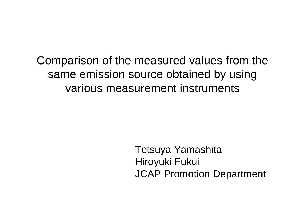Comparison of the measured values from the same emission source obtained by using various measurement instruments

> Tetsuya Yamashita Hiroyuki Fukui JCAP Promotion Department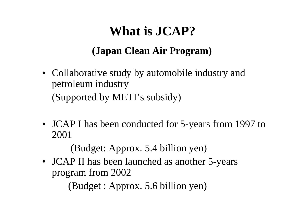# **What is JCAP?**

### **(Japan Clean Air Program)**

- Collaborative study by automobile industry and petroleum industry (Supported by METI's subsidy)
- JCAP I has been conducted for 5-years from 1997 to 2001

(Budget: Approx. 5.4 billion yen)

• JCAP II has been launched as another 5-years program from 2002

 $(Budget : Approx. 5.6 billion yen)$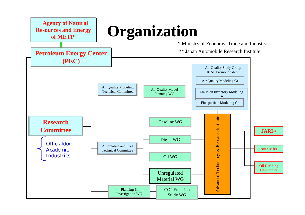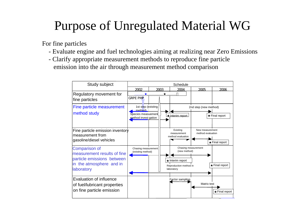# Purpose of Unregulated Material WG

For fine p articles

- Evaluate engine and fuel technologies aiming at realizing near Zero Emis sions
- Clarify appropriate measurement methods to reproduce fin e p article emission into the air through measurement method comparison

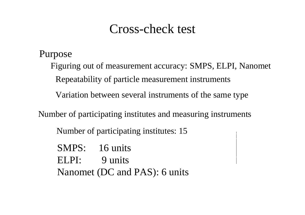### Cross-check test

Purpose

Figuring out of measurement accuracy: SMPS, ELPI, Nanomet

Repeatability of particle measurement instrum ents

Variation between several instruments of the same type

Number of participating institutes and measuring instrum ents

Number of participating institutes: 15

SMPS: 16 units ELPI: 9 units Nanomet (DC and PAS): 6 units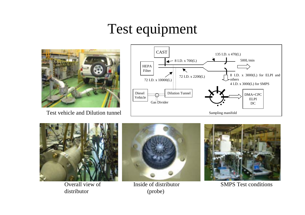# Test equipment



T est vehicle and Dilution tunnel





Overall view of distributor



Inside of distributor(pro b e)



SMPS Test conditions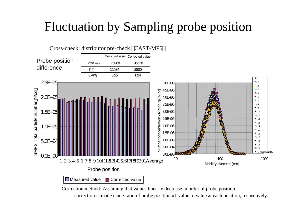# Fluctuation by Sampling probe position



Measured value **□** Corrected value

Correction method: Assuming that values linearly decrease in order of probe position,

correction is made using ratio of probe position #1 value to value at each position, respectively.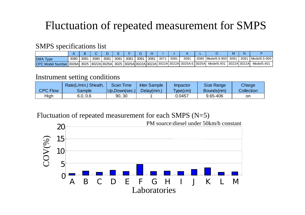### Fluctuation of repeated measurement for SMPS

#### SMPS specification s list

|                                                                                          |      |      |      |      |      |      |      |      |      |      |      |                        | N              |              |
|------------------------------------------------------------------------------------------|------|------|------|------|------|------|------|------|------|------|------|------------------------|----------------|--------------|
| <b>DMA</b> Type                                                                          | 3080 | 3081 | 3080 | 3081 | 3081 | 3081 | 3081 | 3081 | 3071 | 3081 | 3081 | 3080 Model5.5-900 3081 | 3081 ،         | Model5.5-900 |
| CPC Model Number 3026A 3025 3022A 3025A 3025 3025A 3022A 3022A 3022A 3022A 3025A-S 3025A |      |      |      |      |      |      |      |      |      |      |      | Model5.401             | 13022AI 3022AI | Model5.401   |

#### Instrument setting conditions

|                 | Rate(L/min.) Sheath, | <b>Scan Time</b> | <b>Inter Sample</b> | Impactor | <b>Size Range</b> | Charge     |
|-----------------|----------------------|------------------|---------------------|----------|-------------------|------------|
| <b>CPC Flow</b> | Sample               | Up,Down(sec.)    | Delay(min.)         | Type(cm) | Bounds(nm)        | Collection |
| High            | 6.0, 0.6             | 90, 30           |                     | 0.0457   | 9.65-406          | on         |

#### Fluctuati on of repeated measurement for each SMPS (N=5)

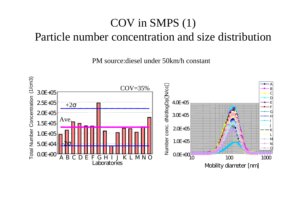### COV in SMPS (1) Particle number concentration and size distribution

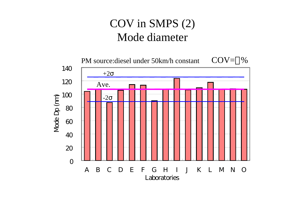### COV in SMPS (2) Mode diameter

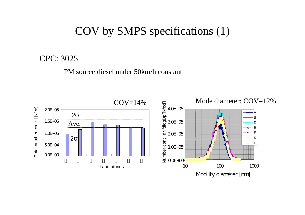### COV by SMPS specifications (1)

CPC: 3025

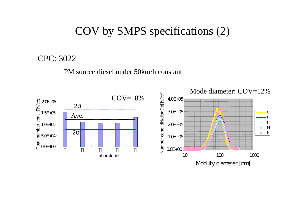### COV by SMPS specifications (2)

CPC: 3022

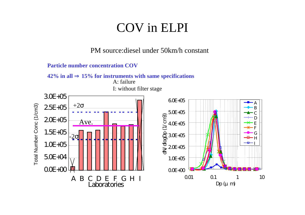# COV in ELPI





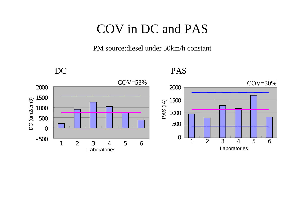# COV in DC and PAS